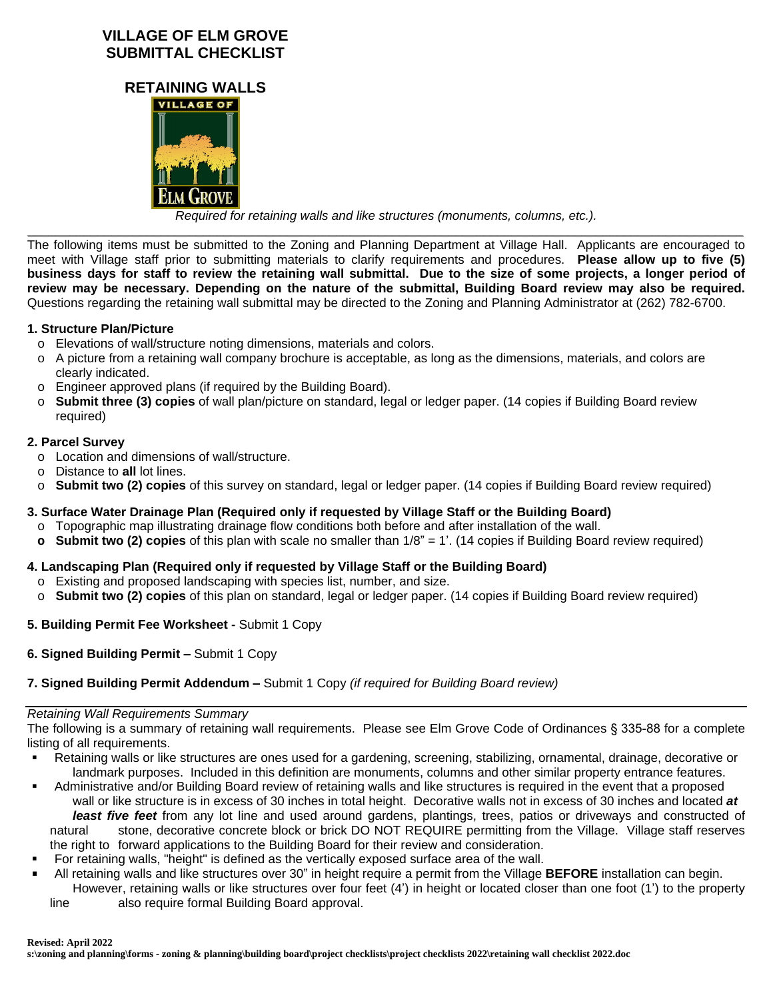# **VILLAGE OF ELM GROVE SUBMITTAL CHECKLIST**





*Required for retaining walls and like structures (monuments, columns, etc.).*

*\_\_\_\_\_\_\_\_\_\_\_\_\_\_\_\_\_\_\_\_\_\_\_\_\_\_\_\_\_\_\_\_\_\_\_\_\_\_\_\_\_\_\_\_\_\_\_\_\_\_\_\_\_\_\_\_\_\_\_\_\_\_\_\_\_\_\_\_\_\_\_\_\_\_\_\_\_\_\_\_\_\_\_\_\_\_\_\_\_\_\_\_\_\_\_\_\_\_\_\_\_\_* The following items must be submitted to the Zoning and Planning Department at Village Hall. Applicants are encouraged to meet with Village staff prior to submitting materials to clarify requirements and procedures. **Please allow up to five (5)** business days for staff to review the retaining wall submittal. Due to the size of some projects, a longer period of review may be necessary. Depending on the nature of the submittal, Building Board review may also be required. Questions regarding the retaining wall submittal may be directed to the Zoning and Planning Administrator at (262) 782-6700.

## **1. Structure Plan/Picture**

- o Elevations of wall/structure noting dimensions, materials and colors.
- o A picture from a retaining wall company brochure is acceptable, as long as the dimensions, materials, and colors are clearly indicated.
- o Engineer approved plans (if required by the Building Board).
- o **Submit three (3) copies** of wall plan/picture on standard, legal or ledger paper. (14 copies if Building Board review required)

## **2. Parcel Survey**

- o Location and dimensions of wall/structure.
- o Distance to **all** lot lines.
- o **Submit two (2) copies** of this survey on standard, legal or ledger paper. (14 copies if Building Board review required)

## **3. Surface Water Drainage Plan (Required only if requested by Village Staff or the Building Board)**

- o Topographic map illustrating drainage flow conditions both before and after installation of the wall.
- **o Submit two (2) copies** of this plan with scale no smaller than 1/8" = 1'. (14 copies if Building Board review required)

## **4. Landscaping Plan (Required only if requested by Village Staff or the Building Board)**

- o Existing and proposed landscaping with species list, number, and size.
- o **Submit two (2) copies** of this plan on standard, legal or ledger paper. (14 copies if Building Board review required)

## **5. Building Permit Fee Worksheet -** Submit 1 Copy

**6. Signed Building Permit –** Submit 1 Copy

## **7. Signed Building Permit Addendum –** Submit 1 Copy *(if required for Building Board review)*

### *Retaining Wall Requirements Summary*

The following is a summary of retaining wall requirements. Please see Elm Grove Code of Ordinances § 335-88 for a complete listing of all requirements.

- Retaining walls or like structures are ones used for a gardening, screening, stabilizing, ornamental, drainage, decorative or landmark purposes. Included in this definition are monuments, columns and other similar property entrance features.
- Administrative and/or Building Board review of retaining walls and like structures is required in the event that a proposed wall or like structure is in excess of 30 inches in total height. Decorative walls not in excess of 30 inches and located *at least five feet* from any lot line and used around gardens, plantings, trees, patios or driveways and constructed of natural stone, decorative concrete block or brick DO NOT REQUIRE permitting from the Village. Village staff reserves the right to forward applications to the Building Board for their review and consideration.
- For retaining walls, "height" is defined as the vertically exposed surface area of the wall.
- All retaining walls and like structures over 30" in height require a permit from the Village **BEFORE** installation can begin. However, retaining walls or like structures over four feet (4') in height or located closer than one foot (1') to the property line also require formal Building Board approval.